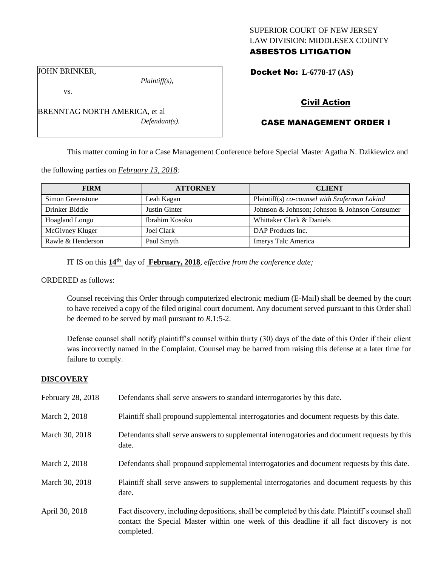# SUPERIOR COURT OF NEW JERSEY LAW DIVISION: MIDDLESEX COUNTY ASBESTOS LITIGATION

Docket No: **L-6778-17 (AS)** 

JOHN BRINKER,

vs.

*Plaintiff(s),*

Civil Action

# CASE MANAGEMENT ORDER I

This matter coming in for a Case Management Conference before Special Master Agatha N. Dzikiewicz and

the following parties on *February 13, 2018:*

| <b>FIRM</b>       | <b>ATTORNEY</b> | <b>CLIENT</b>                                 |
|-------------------|-----------------|-----------------------------------------------|
| Simon Greenstone  | Leah Kagan      | Plaintiff(s) co-counsel with Szaferman Lakind |
| Drinker Biddle    | Justin Ginter   | Johnson & Johnson; Johnson & Johnson Consumer |
| Hoagland Longo    | Ibrahim Kosoko  | Whittaker Clark & Daniels                     |
| McGivney Kluger   | Joel Clark      | DAP Products Inc.                             |
| Rawle & Henderson | Paul Smyth      | Imerys Talc America                           |

IT IS on this **14th** day of **February, 2018**, *effective from the conference date;*

ORDERED as follows:

Counsel receiving this Order through computerized electronic medium (E-Mail) shall be deemed by the court to have received a copy of the filed original court document. Any document served pursuant to this Order shall be deemed to be served by mail pursuant to *R*.1:5-2.

Defense counsel shall notify plaintiff's counsel within thirty (30) days of the date of this Order if their client was incorrectly named in the Complaint. Counsel may be barred from raising this defense at a later time for failure to comply.

## **DISCOVERY**

| February 28, 2018 | Defendants shall serve answers to standard interrogatories by this date.                                                                                                                                    |
|-------------------|-------------------------------------------------------------------------------------------------------------------------------------------------------------------------------------------------------------|
| March 2, 2018     | Plaintiff shall propound supplemental interrogatories and document requests by this date.                                                                                                                   |
| March 30, 2018    | Defendants shall serve answers to supplemental interrogatories and document requests by this<br>date.                                                                                                       |
| March 2, 2018     | Defendants shall propound supplemental interrogatories and document requests by this date.                                                                                                                  |
| March 30, 2018    | Plaintiff shall serve answers to supplemental interrogatories and document requests by this<br>date.                                                                                                        |
| April 30, 2018    | Fact discovery, including depositions, shall be completed by this date. Plaintiff's counsel shall<br>contact the Special Master within one week of this deadline if all fact discovery is not<br>completed. |

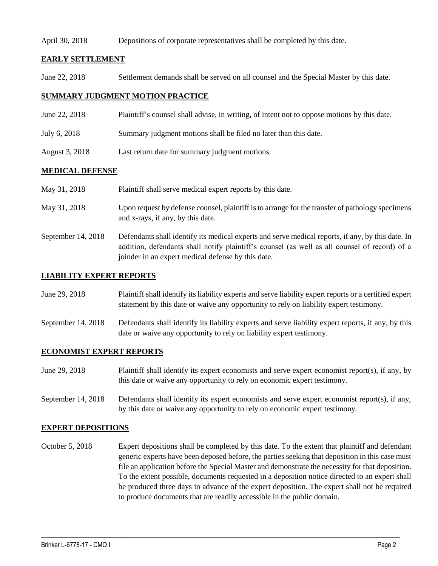## April 30, 2018 Depositions of corporate representatives shall be completed by this date.

## **EARLY SETTLEMENT**

June 22, 2018 Settlement demands shall be served on all counsel and the Special Master by this date.

# **SUMMARY JUDGMENT MOTION PRACTICE**

- June 22, 2018 Plaintiff's counsel shall advise, in writing, of intent not to oppose motions by this date.
- July 6, 2018 Summary judgment motions shall be filed no later than this date.
- August 3, 2018 Last return date for summary judgment motions.

## **MEDICAL DEFENSE**

| May 31, 2018       | Plaintiff shall serve medical expert reports by this date.                                                                                                                                                                                               |
|--------------------|----------------------------------------------------------------------------------------------------------------------------------------------------------------------------------------------------------------------------------------------------------|
| May 31, 2018       | Upon request by defense counsel, plaintiff is to arrange for the transfer of pathology specimens<br>and x-rays, if any, by this date.                                                                                                                    |
| September 14, 2018 | Defendants shall identify its medical experts and serve medical reports, if any, by this date. In<br>addition, defendants shall notify plaintiff's counsel (as well as all counsel of record) of a<br>joinder in an expert medical defense by this date. |

## **LIABILITY EXPERT REPORTS**

| June 29, 2018 | Plaintiff shall identify its liability experts and serve liability expert reports or a certified expert |
|---------------|---------------------------------------------------------------------------------------------------------|
|               | statement by this date or waive any opportunity to rely on liability expert testimony.                  |

September 14, 2018 Defendants shall identify its liability experts and serve liability expert reports, if any, by this date or waive any opportunity to rely on liability expert testimony.

## **ECONOMIST EXPERT REPORTS**

- June 29, 2018 Plaintiff shall identify its expert economists and serve expert economist report(s), if any, by this date or waive any opportunity to rely on economic expert testimony.
- September 14, 2018 Defendants shall identify its expert economists and serve expert economist report(s), if any, by this date or waive any opportunity to rely on economic expert testimony.

## **EXPERT DEPOSITIONS**

October 5, 2018 Expert depositions shall be completed by this date. To the extent that plaintiff and defendant generic experts have been deposed before, the parties seeking that deposition in this case must file an application before the Special Master and demonstrate the necessity for that deposition. To the extent possible, documents requested in a deposition notice directed to an expert shall be produced three days in advance of the expert deposition. The expert shall not be required to produce documents that are readily accessible in the public domain.

 $\_$  ,  $\_$  ,  $\_$  ,  $\_$  ,  $\_$  ,  $\_$  ,  $\_$  ,  $\_$  ,  $\_$  ,  $\_$  ,  $\_$  ,  $\_$  ,  $\_$  ,  $\_$  ,  $\_$  ,  $\_$  ,  $\_$  ,  $\_$  ,  $\_$  ,  $\_$  ,  $\_$  ,  $\_$  ,  $\_$  ,  $\_$  ,  $\_$  ,  $\_$  ,  $\_$  ,  $\_$  ,  $\_$  ,  $\_$  ,  $\_$  ,  $\_$  ,  $\_$  ,  $\_$  ,  $\_$  ,  $\_$  ,  $\_$  ,